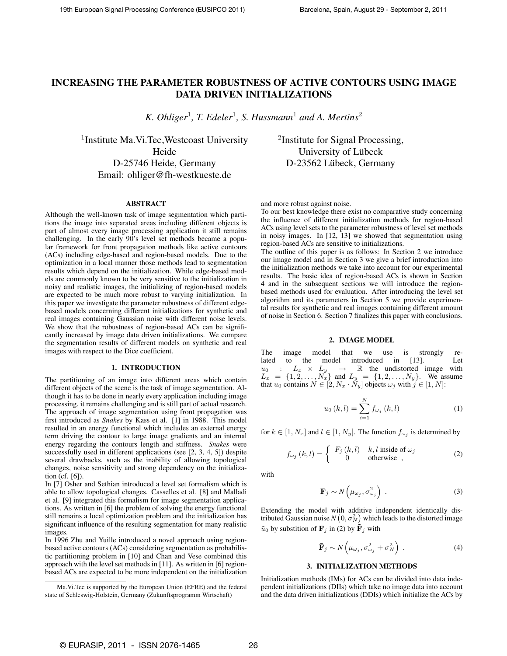# INCREASING THE PARAMETER ROBUSTNESS OF ACTIVE CONTOURS USING IMAGE DATA DRIVEN INITIALIZATIONS

*K. Ohliger*<sup>1</sup> *, T. Edeler*<sup>1</sup> *, S. Hussmann*<sup>1</sup> *and A. Mertins*<sup>2</sup>

<sup>1</sup> Institute Ma. Vi. Tec, Westcoast University Heide D-25746 Heide, Germany Email: ohliger@fh-westkueste.de

# ABSTRACT

Although the well-known task of image segmentation which partitions the image into separated areas including different objects is part of almost every image processing application it still remains challenging. In the early 90's level set methods became a popular framework for front propagation methods like active contours (ACs) including edge-based and region-based models. Due to the optimization in a local manner those methods lead to segmentation results which depend on the initialization. While edge-based models are commonly known to be very sensitive to the initialization in noisy and realistic images, the initializing of region-based models are expected to be much more robust to varying initialization. In this paper we investigate the parameter robustness of different edgebased models concerning different initializations for synthetic and real images containing Gaussian noise with different noise levels. We show that the robustness of region-based ACs can be significantly increased by image data driven initializations. We compare the segmentation results of different models on synthetic and real images with respect to the Dice coefficient.

# 1. INTRODUCTION

The partitioning of an image into different areas which contain different objects of the scene is the task of image segmentation. Although it has to be done in nearly every application including image processing, it remains challenging and is still part of actual research. The approach of image segmentation using front propagation was first introduced as *Snakes* by Kass et al. [1] in 1988. This model resulted in an energy functional which includes an external energy term driving the contour to large image gradients and an internal energy regarding the contours length and stiffness. *Snakes* were successfully used in different applications (see [2, 3, 4, 5]) despite several drawbacks, such as the inability of allowing topological changes, noise sensitivity and strong dependency on the initialization (cf. [6]).

In [7] Osher and Sethian introduced a level set formalism which is able to allow topological changes. Casselles et al. [8] and Malladi et al. [9] integrated this formalism for image segmentation applications. As written in [6] the problem of solving the energy functional still remains a local optimization problem and the initialization has significant influence of the resulting segmentation for many realistic images.

In 1996 Zhu and Yuille introduced a novel approach using regionbased active contours (ACs) considering segmentation as probabilistic partitioning problem in [10] and Chan and Vese combined this approach with the level set methods in [11]. As written in [6] regionbased ACs are expected to be more independent on the initialization <sup>2</sup>Institute for Signal Processing, University of Lübeck D-23562 Lübeck, Germany

and more robust against noise.

To our best knowledge there exist no comparative study concerning the influence of different initialization methods for region-based ACs using level sets to the parameter robustness of level set methods in noisy images. In [12, 13] we showed that segmentation using region-based ACs are sensitive to initializations.

The outline of this paper is as follows: In Section 2 we introduce our image model and in Section 3 we give a brief introduction into the initialization methods we take into account for our experimental results. The basic idea of region-based ACs is shown in Section 4 and in the subsequent sections we will introduce the regionbased methods used for evaluation. After introducing the level set algorithm and its parameters in Section 5 we provide experimental results for synthetic and real images containing different amount of noise in Section 6. Section 7 finalizes this paper with conclusions.

# 2. IMAGE MODEL

The image model that we use is strongly related to the model introduced in [13]. Let  $u_0$  :  $L_x \times L_y \rightarrow \mathbb{R}$  the undistorted image with  $L_x = \{1, 2, \ldots, N_x\}$  and  $L_y = \{1, 2, \ldots, N_y\}$ . We assume that  $u_0$  contains  $N \in [2, N_x \cdot N_y]$  objects  $\omega_j$  with  $j \in [1, N]$ :

$$
u_0(k,l) = \sum_{i=1}^{N} f_{\omega_j}(k,l)
$$
 (1)

for  $k \in [1, N_x]$  and  $l \in [1, N_y]$ . The function  $f_{\omega_j}$  is determined by

$$
f_{\omega_j}(k,l) = \begin{cases} F_j(k,l) & k,l \text{ inside of } \omega_j \\ 0 & \text{otherwise} \end{cases}
$$
 (2)

with

$$
\mathbf{F}_j \sim N\left(\mu_{\omega_j}, \sigma_{\omega_j}^2\right) \tag{3}
$$

Extending the model with additive independent identically distributed Gaussian noise  $N\left(0, \sigma_{N}^{2}\right)$  which leads to the distorted image  $\tilde{u}_0$  by substition of  $\mathbf{F}_j$  in (2) by  $\tilde{\mathbf{F}}_j$  with

$$
\tilde{\mathbf{F}}_j \sim N\left(\mu_{\omega_j}, \sigma_{\omega_j}^2 + \sigma_N^2\right) \,. \tag{4}
$$

# 3. INITIALIZATION METHODS

Initialization methods (IMs) for ACs can be divided into data independent initializations (DIIs) which take no image data into account and the data driven initializations (DDIs) which initialize the ACs by

Ma.Vi.Tec is supported by the European Union (EFRE) and the federal state of Schleswig-Holstein, Germany (Zukunftsprogramm Wirtschaft)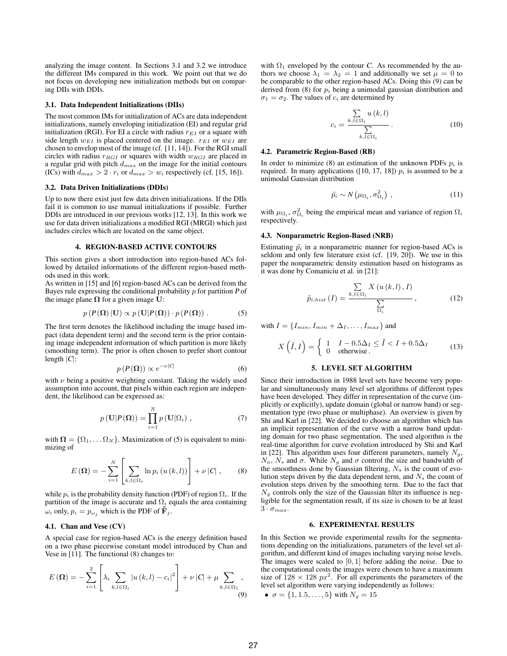analyzing the image content. In Sections 3.1 and 3.2 we introduce the different IMs compared in this work. We point out that we do not focus on developing new initialization methods but on comparing DIIs with DDIs.

### 3.1. Data Independent Initializations (DIIs)

The most common IMs for initialization of ACs are data independent initializations, namely enveloping initialization (EI) and regular grid initialization (RGI). For EI a circle with radius  $r_{EI}$  or a square with side length  $w_{EI}$  is placed centered on the image.  $r_{EI}$  or  $w_{EI}$  are chosen to envelop most of the image (cf. [11, 14]). For the RGI small circles with radius  $r_{RGI}$  or squares with width  $w_{RGI}$  are placed in a regular grid with pitch  $d_{max}$  on the image for the initial contours (ICs) with  $d_{max} > 2 \cdot r_i$  or  $d_{max} > w_i$  respectively (cf. [15, 16]).

### 3.2. Data Driven Initializations (DDIs)

Up to now there exist just few data driven initializations. If the DIIs fail it is common to use manual initializations if possible. Further DDIs are introduced in our previous works [12, 13]. In this work we use for data driven initializations a modified RGI (MRGI) which just includes circles which are located on the same object.

#### 4. REGION-BASED ACTIVE CONTOURS

This section gives a short introduction into region-based ACs followed by detailed informations of the different region-based methods used in this work.

As written in [15] and [6] region-based ACs can be derived from the Bayes rule expressing the conditional probability  $p$  for partition  $P$  of the image plane  $\Omega$  for a given image U:

$$
p(P(\Omega) | \mathbf{U}) \propto p(\mathbf{U} | P(\Omega)) \cdot p(P(\Omega)). \tag{5}
$$

The first term denotes the likelihood including the image based impact (data dependent term) and the second term is the prior containing image independent information of which partition is more likely (smoothing term). The prior is often chosen to prefer short contour length  $|C|$ :

$$
p\left(P(\Omega)\right) \propto e^{-\nu|C|} \tag{6}
$$

with  $\nu$  being a positive weighting constant. Taking the widely used assumption into account, that pixels within each region are independent, the likelihood can be expressed as:

$$
p(\mathbf{U}|P(\mathbf{\Omega})) = \prod_{i=1}^{N} p(\mathbf{U}|\Omega_i), \qquad (7)
$$

with  $\mathbf{\Omega} = {\Omega_1, \dots \Omega_N}$ . Maximization of (5) is equivalent to minimizing of

$$
E(\mathbf{\Omega}) = -\sum_{i=1}^{N} \left[ \sum_{k,l \in \Omega_i} \ln p_i(u(k,l)) \right] + \nu |C|, \qquad (8)
$$

while  $p_i$  is the probability density function (PDF) of region  $\Omega_i$ . If the partition of the image is accurate and  $\Omega_i$  equals the area containing  $\omega_i$  only,  $p_i = p_{\omega_i}$  which is the PDF of  $\tilde{\mathbf{F}}_i$ .

# 4.1. Chan and Vese (CV)

A special case for region-based ACs is the energy definition based on a two phase piecewise constant model introduced by Chan and Vese in [11]. The functional (8) changes to:

$$
E(\Omega) = -\sum_{i=1}^{2} \left[ \lambda_i \sum_{k,l \in \Omega_i} |u(k,l) - c_i|^2 \right] + \nu |C| + \mu \sum_{k,l \in \Omega_1} ,
$$
\n(9)

with  $\Omega_1$  enveloped by the contour C. As recommended by the authors we choose  $\lambda_1 = \lambda_2 = 1$  and additionally we set  $\mu = 0$  to be comparable to the other region-based ACs. Doing this (9) can be derived from (8) for  $p_i$  being a unimodal gaussian distribution and  $\sigma_1 = \sigma_2$ . The values of  $c_i$  are determined by

$$
c_i = \frac{\sum\limits_{k,l \in \Omega_i} u(k,l)}{\sum\limits_{k,l \in \Omega_i} \cdot} \tag{10}
$$

#### 4.2. Parametric Region-Based (RB)

In order to minimize (8) an estimation of the unknown PDFs  $p_i$  is required. In many applications ([10, 17, 18])  $p_i$  is assumed to be a unimodal Gaussian distribution

$$
\tilde{p_i} \sim N\left(\mu_{\Omega_i}, \sigma_{\Omega_i}^2\right),\tag{11}
$$

with  $\mu_{\Omega_i}$ ,  $\sigma_{\Omega_i}^2$  being the empirical mean and variance of region  $\Omega_i$ respectively.

### 4.3. Nonparametric Region-Based (NRB)

Estimating  $\tilde{p}_i$  in a nonparametric manner for region-based ACs is seldom and only few literature exist (cf. [19, 20]). We use in this paper the nonparametric density estimation based on histograms as it was done by Comaniciu et al. in [21]:

$$
\tilde{p}_{i,hist}(I) = \frac{\sum\limits_{k,l \in \Omega_i} X(u(k,l), I)}{\sum\limits_{\Omega_i}, \qquad (12)}
$$

with  $I = \{I_{min}, I_{min} + \Delta_I, \ldots, I_{max}\}\$  and

$$
X(\tilde{I},I) = \begin{cases} 1 & I - 0.5\Delta_I \le \tilde{I} < I + 0.5\Delta_I \\ 0 & \text{otherwise.} \end{cases} \tag{13}
$$

# 5. LEVEL SET ALGORITHM

Since their introduction in 1988 level sets have become very popular and simultaneously many level set algorithms of different types have been developed. They differ in representation of the curve (implicitly or explicitly), update domain (global or narrow band) or segmentation type (two phase or multiphase). An overview is given by Shi and Karl in [22]. We decided to choose an algorithm which has an implicit representation of the curve with a narrow band updating domain for two phase segmentation. The used algorithm is the real-time algorithm for curve evolution introduced by Shi and Karl in [22]. This algorithm uses four different parameters, namely  $N_a$ ,  $N_a$ ,  $N_s$  and  $\sigma$ . While  $N_g$  and  $\sigma$  control the size and bandwidth of the smoothness done by Gaussian filtering,  $N_a$  is the count of evolution steps driven by the data dependent term, and  $N<sub>s</sub>$  the count of evolution steps driven by the smoothing term. Due to the fact that  $N<sub>g</sub>$  controls only the size of the Gaussian filter its influence is negligible for the segmentation result, if its size is chosen to be at least  $3 \cdot \sigma_{max}$ .

### 6. EXPERIMENTAL RESULTS

In this Section we provide experimental results for the segmentations depending on the initializations, parameters of the level set algorithm, and different kind of images including varying noise levels. The images were scaled to  $[0, 1]$  before adding the noise. Due to the computational costs the images were chosen to have a maximum size of  $128 \times 128$   $px^2$ . For all experiments the parameters of the level set algorithm were varying independently as follows:

• 
$$
\sigma = \{1, 1.5, ..., 5\}
$$
 with  $N_g = 15$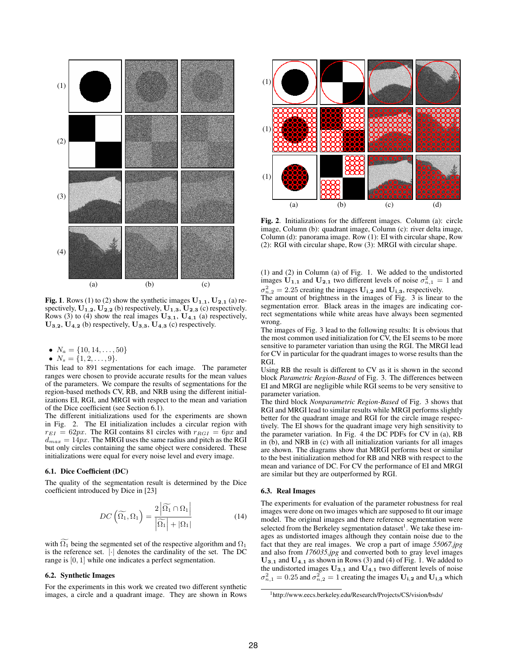

Fig. 1. Rows (1) to (2) show the synthetic images  $U_{1,1}$ ,  $U_{2,1}$  (a) respectively,  $\mathbf{U}_{1,2}$ ,  $\mathbf{U}_{2,2}$  (b) respectively,  $\mathbf{U}_{1,3}$ ,  $\mathbf{U}_{2,3}$  (c) respectively. Rows (3) to (4) show the real images  $U_{3,1}$ ,  $U_{4,1}$  (a) respectively,  $U_{3,2}$ ,  $U_{4,2}$  (b) respectively,  $U_{3,3}$ ,  $U_{4,3}$  (c) respectively.

•  $N_a = \{10, 14, \ldots, 50\}$ 

•  $N_s = \{1, 2, \ldots, 9\}.$ 

This lead to 891 segmentations for each image. The parameter ranges were chosen to provide accurate results for the mean values of the parameters. We compare the results of segmentations for the region-based methods CV, RB, and NRB using the different initializations EI, RGI, and MRGI with respect to the mean and variation of the Dice coefficient (see Section 6.1).

The different initializations used for the experiments are shown in Fig. 2. The EI initialization includes a circular region with  $r_{EI} = 62px$ . The RGI contains 81 circles with  $r_{RGI} = 6px$  and  $d_{max} = 14px$ . The MRGI uses the same radius and pitch as the RGI but only circles containing the same object were considered. These initializations were equal for every noise level and every image.

### 6.1. Dice Coefficient (DC)

The quality of the segmentation result is determined by the Dice coefficient introduced by Dice in [23]

$$
DC\left(\widetilde{\Omega_1}, \Omega_1\right) = \frac{2\left|\widetilde{\Omega_1} \cap \Omega_1\right|}{\left|\widetilde{\Omega_1}\right| + \left|\Omega_1\right|} \tag{14}
$$

with  $\Omega_1$  being the segmented set of the respective algorithm and  $\Omega_1$ is the reference set.  $|\cdot|$  denotes the cardinality of the set. The DC range is [0, 1] while one indicates a perfect segmentation.

# 6.2. Synthetic Images

For the experiments in this work we created two different synthetic images, a circle and a quadrant image. They are shown in Rows



Fig. 2. Initializations for the different images. Column (a): circle image, Column (b): quadrant image, Column (c): river delta image, Column (d): panorama image. Row (1): EI with circular shape, Row (2): RGI with circular shape, Row (3): MRGI with circular shape.

(1) and (2) in Column (a) of Fig. 1. We added to the undistorted images  $\mathbf{U}_{1,1}$  and  $\mathbf{U}_{2,1}$  two different levels of noise  $\sigma_{n,1}^2 = 1$  and  $\sigma_{n,2}^2 = 2.25$  creating the images  $\mathbf{U_{i,2}}$  and  $\mathbf{U_{i,3}}$ , respectively.

The amount of brightness in the images of Fig. 3 is linear to the segmentation error. Black areas in the images are indicating correct segmentations while white areas have always been segmented wrong.

The images of Fig. 3 lead to the following results: It is obvious that the most common used initialization for CV, the EI seems to be more sensitive to parameter variation than using the RGI. The MRGI lead for CV in particular for the quadrant images to worse results than the RGI.

Using RB the result is different to CV as it is shown in the second block *Parametric Region-Based* of Fig. 3. The differences between EI and MRGI are negligible while RGI seems to be very sensitive to parameter variation.

The third block *Nonparametric Region-Based* of Fig. 3 shows that RGI and MRGI lead to similar results while MRGI performs slightly better for the quadrant image and RGI for the circle image respectively. The EI shows for the quadrant image very high sensitivity to the parameter variation. In Fig. 4 the DC PDFs for CV in (a), RB in (b), and NRB in (c) with all initialization variants for all images are shown. The diagrams show that MRGI performs best or similar to the best initialization method for RB and NRB with respect to the mean and variance of DC. For CV the performance of EI and MRGI are similar but they are outperformed by RGI.

# 6.3. Real Images

The experiments for evaluation of the parameter robustness for real images were done on two images which are supposed to fit our image model. The original images and there reference segmentation were selected from the Berkeley segmentation dataset<sup>1</sup>. We take these images as undistorted images although they contain noise due to the fact that they are real images. We crop a part of image *55067.jpg* and also from *176035.jpg* and converted both to gray level images  $U_{3,1}$  and  $U_{4,1}$  as shown in Rows (3) and (4) of Fig. 1. We added to the undistorted images  $U_{3,1}$  and  $U_{4,1}$  two different levels of noise  $\sigma_{n,1}^2 = 0.25$  and  $\sigma_{n,2}^2 = 1$  creating the images  $\mathbf{U_{i,2}}$  and  $\mathbf{U_{i,3}}$  which

<sup>1</sup>http://www.eecs.berkeley.edu/Research/Projects/CS/vision/bsds/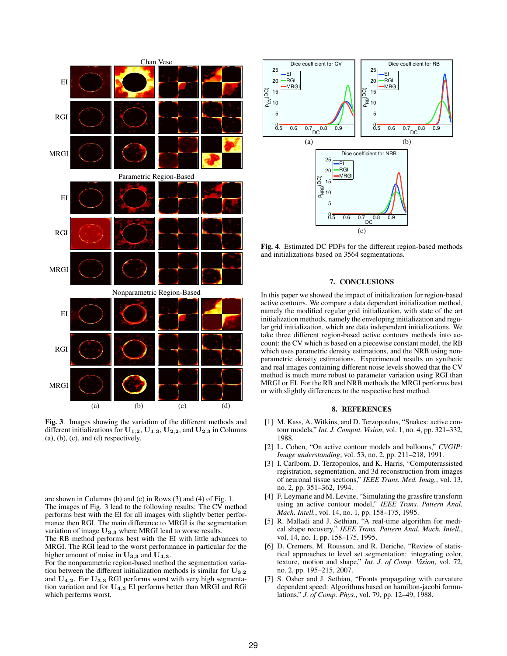

Fig. 3. Images showing the variation of the different methods and different initializations for  $U_{1,2}$ ,  $U_{1,3}$ ,  $U_{2,2}$ , and  $U_{2,3}$  in Columns  $(a)$ ,  $(b)$ ,  $(c)$ , and  $(d)$  respectively.

are shown in Columns (b) and (c) in Rows (3) and (4) of Fig. 1. The images of Fig. 3 lead to the following results: The CV method performs best with the EI for all images with slightly better performance then RGI. The main difference to MRGI is the segmentation variation of image  $U_{3,3}$  where MRGI lead to worse results.

The RB method performs best with the EI with little advances to MRGI. The RGI lead to the worst performance in particular for the higher amount of noise in  $\mathbf{U}_{3,3}$  and  $\mathbf{U}_{4,3}$ .

For the nonparametric region-based method the segmentation variation between the different initialization methods is similar for  $\mathbf{U_{3,2}}$ and  $U_{4,2}$ . For  $U_{3,3}$  RGI performs worst with very high segmentation variation and for  $U_{4,3}$  EI performs better than MRGI and RGi which perferms worst.



Fig. 4. Estimated DC PDFs for the different region-based methods and initializations based on 3564 segmentations.

# 7. CONCLUSIONS

In this paper we showed the impact of initialization for region-based active contours. We compare a data dependent initialization method, namely the modified regular grid initialization, with state of the art initialization methods, namely the enveloping initialization and regular grid initialization, which are data independent initializations. We take three different region-based active contours methods into account: the CV which is based on a piecewise constant model, the RB which uses parametric density estimations, and the NRB using nonparametric density estimations. Experimental results on synthetic and real images containing different noise levels showed that the CV method is much more robust to parameter variation using RGI than MRGI or EI. For the RB and NRB methods the MRGI performs best or with slightly differences to the respective best method.

# 8. REFERENCES

- [1] M. Kass, A. Witkins, and D. Terzopoulus, "Snakes: active contour models," *Int. J. Comput. Vision*, vol. 1, no. 4, pp. 321–332, 1988.
- [2] L. Cohen, "On active contour models and balloons," *CVGIP: Image understanding*, vol. 53, no. 2, pp. 211–218, 1991.
- [3] I. Carlbom, D. Terzopoulos, and K. Harris, "Computerassisted registration, segmentation, and 3d reconstruction from images of neuronal tissue sections," *IEEE Trans. Med. Imag.*, vol. 13, no. 2, pp. 351–362, 1994.
- [4] F. Leymarie and M. Levine, "Simulating the grassfire transform using an active contour model," *IEEE Trans. Pattern Anal. Mach. Intell.*, vol. 14, no. 1, pp. 158–175, 1995.
- [5] R. Malladi and J. Sethian, "A real-time algorithm for medical shape recovery," *IEEE Trans. Pattern Anal. Mach. Intell.*, vol. 14, no. 1, pp. 158–175, 1995.
- [6] D. Cremers, M. Rousson, and R. Deriche, "Review of statistical approaches to level set segmentation: integrating color, texture, motion and shape," *Int. J. of Comp. Vision*, vol. 72, no. 2, pp. 195–215, 2007.
- [7] S. Osher and J. Sethian, "Fronts propagating with curvature dependent speed: Algorithms based on hamilton-jacobi formulations," *J. of Comp. Phys.*, vol. 79, pp. 12–49, 1988.